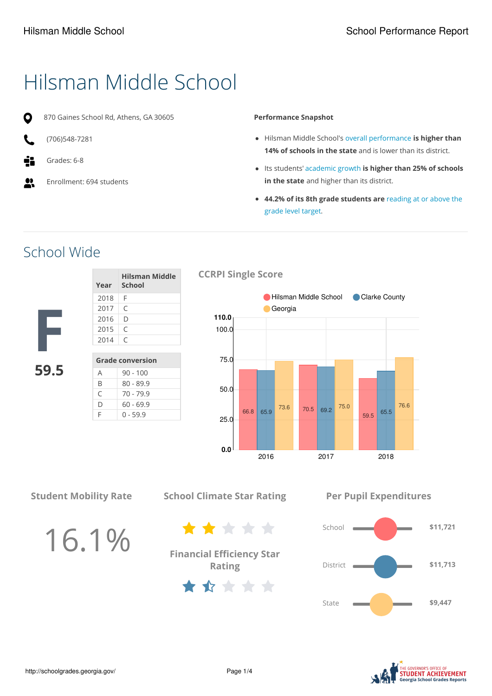# Hilsman Middle School

870 Gaines School Rd, Athens, GA 30605

- O
	- (706)548-7281
- Grades: 6-8
- $\bullet\bullet$ Enrollment: 694 students

#### **Performance Snapshot**

- Hilsman Middle School's overall performance **is higher than 14% of schools in the state** and is lower than its district.
- Its students' academic growth **is higher than 25% of schools in the state** and higher than its district.
- **44.2% of its 8th grade students are** reading at or above the grade level target.

### School Wide

| Year | Hilsman Middle<br>∣ School |
|------|----------------------------|
| 2018 | F                          |
| 2017 | $\subset$                  |
| 2016 | D                          |
| 2015 | $\subset$                  |
| 2014 | $\subset$                  |
|      |                            |

**F 59.5**



### **CCRPI Single Score**



**Student Mobility Rate**

16.1%

**School Climate Star Rating**

**Financial Efficiency Star Rating**

\*\*\*\*\*

\*\*\*\*\*

**Per Pupil Expenditures**



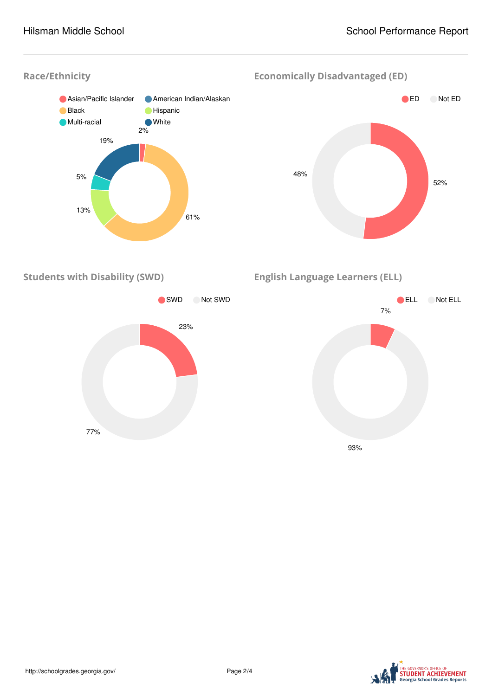#### **Race/Ethnicity**



**Economically Disadvantaged (ED)**



**Students with Disability (SWD)**



**English Language Learners (ELL)**

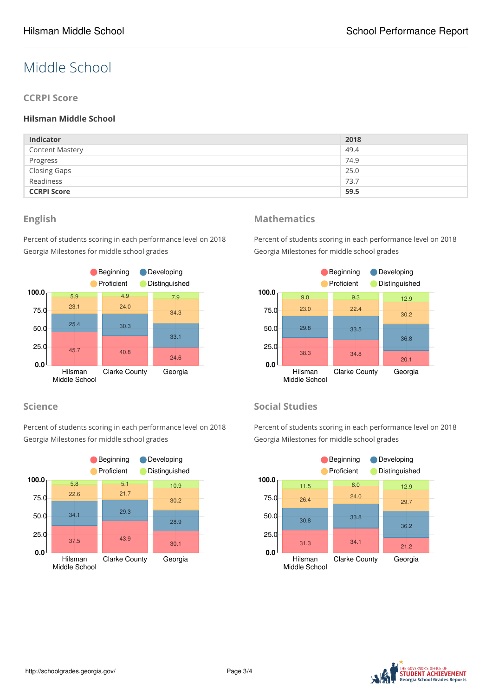## Middle School

#### **CCRPI Score**

#### **Hilsman Middle School**

| <b>Indicator</b>       | 2018 |
|------------------------|------|
| <b>Content Mastery</b> | 49.4 |
| Progress               | 74.9 |
| <b>Closing Gaps</b>    | 25.0 |
| Readiness              | 73.7 |
| <b>CCRPI Score</b>     | 59.5 |

#### **English**

Percent of students scoring in each performance level on 2018 Georgia Milestones for middle school grades



#### **Science**

Percent of students scoring in each performance level on 2018 Georgia Milestones for middle school grades



### **Mathematics**

Percent of students scoring in each performance level on 2018 Georgia Milestones for middle school grades



#### **Social Studies**

Percent of students scoring in each performance level on 2018 Georgia Milestones for middle school grades